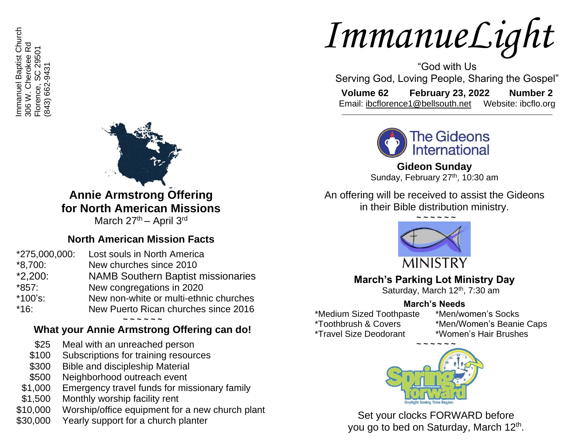mmanuel Baptist Church Immanuel Baptist Church 306 W. Cherokee Rd<br>Florence, SC 29501 306 W. Cherokee Rd Florence, SC 29501 843) 662-9431 (843) 662-9431



**Annie Armstrong Offering for North American Missions**

March 27<sup>th</sup> – April 3<sup>rd</sup>

## **North American Mission Facts**

| *275,000,000: | Lost souls in North America               |  |
|---------------|-------------------------------------------|--|
| *8,700:       | New churches since 2010                   |  |
| $*2,200:$     | <b>NAMB Southern Baptist missionaries</b> |  |
| *857:         | New congregations in 2020                 |  |
| *100's:       | New non-white or multi-ethnic churches    |  |
| *16:          | New Puerto Rican churches since 2016      |  |
|               |                                           |  |

## **What your Annie Armstrong Offering can do!**

- \$25 Meal with an unreached person
- \$100 Subscriptions for training resources
- \$300 Bible and discipleship Material
- \$500 Neighborhood outreach event
- \$1,000 Emergency travel funds for missionary family
- \$1,500 Monthly worship facility rent
- \$10,000 Worship/office equipment for a new church plant
- \$30,000 Yearly support for a church planter

# *ImmanueLight*

"God with Us Serving God, Loving People, Sharing the Gospel"

**Volume 62 February 23, 2022 Number 2** Email: [ibcflorence1@bellsouth.net](mailto:ibcflorence1@bellsouth.net) Website: ibcflo.org  $\_$  , and the set of the set of the set of the set of the set of the set of the set of the set of the set of the set of the set of the set of the set of the set of the set of the set of the set of the set of the set of th



**Gideon Sunday** Sunday, February 27<sup>th</sup>, 10:30 am

An offering will be received to assist the Gideons in their Bible distribution ministry.



# **March's Parking Lot Ministry Day**

Saturday, March 12<sup>th</sup>, 7:30 am

# **March's Needs**

\*Medium Sized Toothpaste \*Toothbrush & Covers \*Travel Size Deodorant

- \*Men/women's Socks
- \*Men/Women's Beanie Caps
- \*Women's Hair Brushes



Set your clocks FORWARD before you go to bed on Saturday, March 12<sup>th</sup>.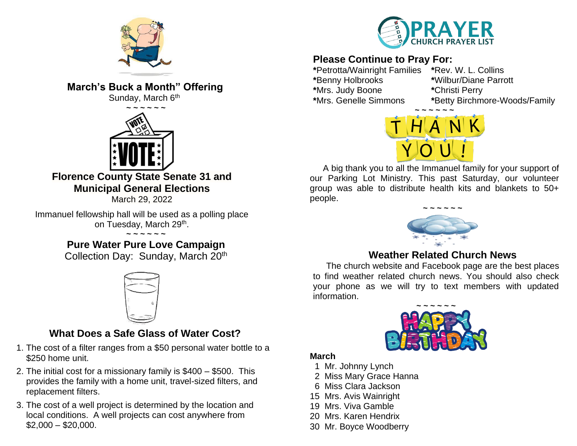

**March's Buck a Month" Offering**

Sunday, March 6<sup>th</sup>



**Florence County State Senate 31 and Municipal General Elections**

March 29, 2022

Immanuel fellowship hall will be used as a polling place on Tuesday, March 29<sup>th</sup>.

> **~ ~ ~ ~ ~ ~ Pure Water Pure Love Campaign**

Collection Day: Sunday, March 20<sup>th</sup>



# **What Does a Safe Glass of Water Cost?**

- 1. The cost of a filter ranges from a \$50 personal water bottle to a \$250 home unit.
- 2. The initial cost for a missionary family is \$400 \$500. This provides the family with a home unit, travel-sized filters, and replacement filters.
- 3. The cost of a well project is determined by the location and local conditions. A well projects can cost anywhere from  $$2,000 - $20,000.$



# **Please Continue to Pray For:**

**\***Petrotta/Wainright Families **\***Rev. W. L. Collins **\***Benny Holbrooks **\***Wilbur/Diane Parrott **\***Mrs. Judy Boone **\***Christi Perry

**\***Mrs. Genelle Simmons **\***Betty Birchmore-Woods/Family



A big thank you to all the Immanuel family for your support of our Parking Lot Ministry. This past Saturday, our volunteer group was able to distribute health kits and blankets to 50+ people.



## **Weather Related Church News**

The church website and Facebook page are the best places to find weather related church news. You should also check your phone as we will try to text members with updated information.



#### **March**

- 1 Mr. Johnny Lynch
- 2 Miss Mary Grace Hanna
- 6 Miss Clara Jackson
- 15 Mrs. Avis Wainright
- 19 Mrs. Viva Gamble
- 20 Mrs. Karen Hendrix
- 30 Mr. Boyce Woodberry